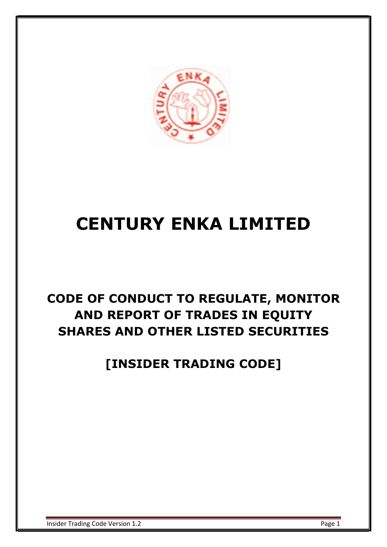

# CENTURY ENKA LIMITED

# CODE OF CONDUCT TO REGULATE, MONITOR AND REPORT OF TRADES IN EQUITY SHARES AND OTHER LISTED SECURITIES

[INSIDER TRADING CODE]

Insider Trading Code Version 1.2 **Page 1** Page 1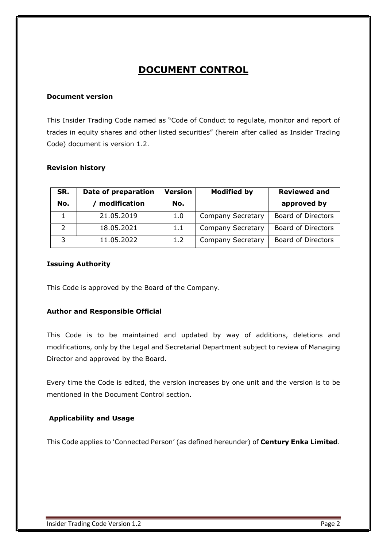### DOCUMENT CONTROL

#### Document version

This Insider Trading Code named as "Code of Conduct to regulate, monitor and report of trades in equity shares and other listed securities" (herein after called as Insider Trading Code) document is version 1.2.

#### Revision history

| SR.<br>No.    | Date of preparation<br>modification | <b>Version</b><br>No. | <b>Modified by</b>       | <b>Reviewed and</b><br>approved by |
|---------------|-------------------------------------|-----------------------|--------------------------|------------------------------------|
|               | 21.05.2019                          | 1.0                   | <b>Company Secretary</b> | Board of Directors                 |
| $\mathcal{P}$ | 18.05.2021                          | 1.1                   | <b>Company Secretary</b> | Board of Directors                 |
| 3             | 11.05.2022                          | 1.2                   | <b>Company Secretary</b> | Board of Directors                 |

#### Issuing Authority

This Code is approved by the Board of the Company.

#### Author and Responsible Official

This Code is to be maintained and updated by way of additions, deletions and modifications, only by the Legal and Secretarial Department subject to review of Managing Director and approved by the Board.

Every time the Code is edited, the version increases by one unit and the version is to be mentioned in the Document Control section.

#### Applicability and Usage

This Code applies to 'Connected Person' (as defined hereunder) of Century Enka Limited.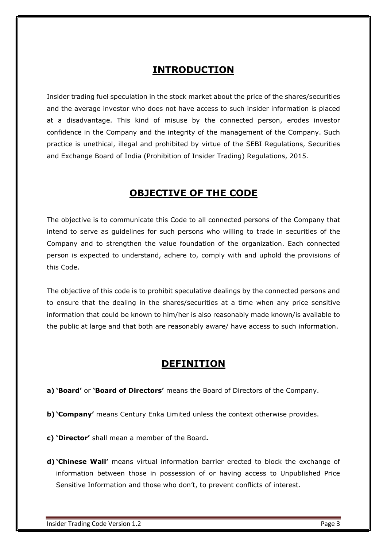### INTRODUCTION

Insider trading fuel speculation in the stock market about the price of the shares/securities and the average investor who does not have access to such insider information is placed at a disadvantage. This kind of misuse by the connected person, erodes investor confidence in the Company and the integrity of the management of the Company. Such practice is unethical, illegal and prohibited by virtue of the SEBI Regulations, Securities and Exchange Board of India (Prohibition of Insider Trading) Regulations, 2015.

### OBJECTIVE OF THE CODE

The objective is to communicate this Code to all connected persons of the Company that intend to serve as guidelines for such persons who willing to trade in securities of the Company and to strengthen the value foundation of the organization. Each connected person is expected to understand, adhere to, comply with and uphold the provisions of this Code.

The objective of this code is to prohibit speculative dealings by the connected persons and to ensure that the dealing in the shares/securities at a time when any price sensitive information that could be known to him/her is also reasonably made known/is available to the public at large and that both are reasonably aware/ have access to such information.

### DEFINITION

a) 'Board' or 'Board of Directors' means the Board of Directors of the Company.

- b) 'Company' means Century Enka Limited unless the context otherwise provides.
- c) 'Director' shall mean a member of the Board.
- d) 'Chinese Wall' means virtual information barrier erected to block the exchange of information between those in possession of or having access to Unpublished Price Sensitive Information and those who don't, to prevent conflicts of interest.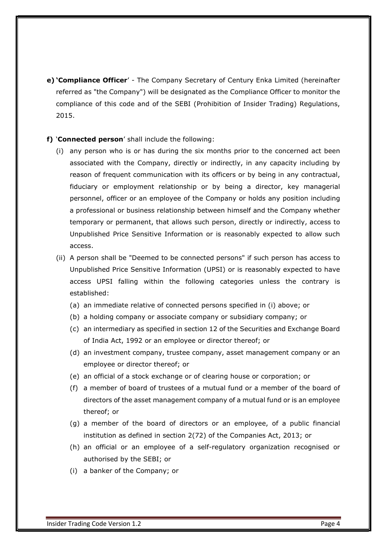e) 'Compliance Officer' - The Company Secretary of Century Enka Limited (hereinafter referred as "the Company") will be designated as the Compliance Officer to monitor the compliance of this code and of the SEBI (Prohibition of Insider Trading) Regulations, 2015.

#### f) 'Connected person' shall include the following:

- (i) any person who is or has during the six months prior to the concerned act been associated with the Company, directly or indirectly, in any capacity including by reason of frequent communication with its officers or by being in any contractual, fiduciary or employment relationship or by being a director, key managerial personnel, officer or an employee of the Company or holds any position including a professional or business relationship between himself and the Company whether temporary or permanent, that allows such person, directly or indirectly, access to Unpublished Price Sensitive Information or is reasonably expected to allow such access.
- (ii) A person shall be "Deemed to be connected persons" if such person has access to Unpublished Price Sensitive Information (UPSI) or is reasonably expected to have access UPSI falling within the following categories unless the contrary is established:
	- (a) an immediate relative of connected persons specified in (i) above; or
	- (b) a holding company or associate company or subsidiary company; or
	- (c) an intermediary as specified in section 12 of the Securities and Exchange Board of India Act, 1992 or an employee or director thereof; or
	- (d) an investment company, trustee company, asset management company or an employee or director thereof; or
	- (e) an official of a stock exchange or of clearing house or corporation; or
	- (f) a member of board of trustees of a mutual fund or a member of the board of directors of the asset management company of a mutual fund or is an employee thereof; or
	- (g) a member of the board of directors or an employee, of a public financial institution as defined in section 2(72) of the Companies Act, 2013; or
	- (h) an official or an employee of a self-regulatory organization recognised or authorised by the SEBI; or
	- (i) a banker of the Company; or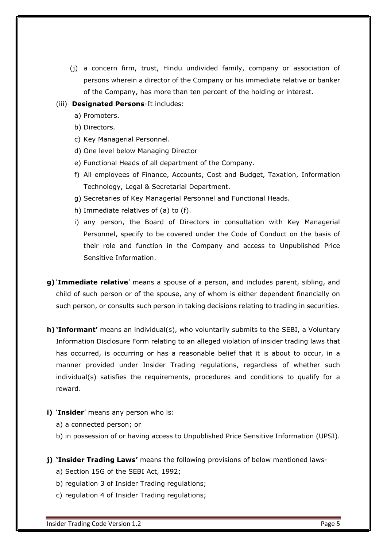(j) a concern firm, trust, Hindu undivided family, company or association of persons wherein a director of the Company or his immediate relative or banker of the Company, has more than ten percent of the holding or interest.

#### (iii) **Designated Persons**-It includes:

- a) Promoters.
- b) Directors.
- c) Key Managerial Personnel.
- d) One level below Managing Director
- e) Functional Heads of all department of the Company.
- f) All employees of Finance, Accounts, Cost and Budget, Taxation, Information Technology, Legal & Secretarial Department.
- g) Secretaries of Key Managerial Personnel and Functional Heads.
- h) Immediate relatives of (a) to (f).
- i) any person, the Board of Directors in consultation with Key Managerial Personnel, specify to be covered under the Code of Conduct on the basis of their role and function in the Company and access to Unpublished Price Sensitive Information.
- g) 'Immediate relative' means a spouse of a person, and includes parent, sibling, and child of such person or of the spouse, any of whom is either dependent financially on such person, or consults such person in taking decisions relating to trading in securities.
- h) 'Informant' means an individual(s), who voluntarily submits to the SEBI, a Voluntary Information Disclosure Form relating to an alleged violation of insider trading laws that has occurred, is occurring or has a reasonable belief that it is about to occur, in a manner provided under Insider Trading regulations, regardless of whether such individual(s) satisfies the requirements, procedures and conditions to qualify for a reward.
- i) 'Insider' means any person who is:
	- a) a connected person; or
	- b) in possession of or having access to Unpublished Price Sensitive Information (UPSI).
- j) 'Insider Trading Laws' means the following provisions of below mentioned laws
	- a) Section 15G of the SEBI Act, 1992;
	- b) regulation 3 of Insider Trading regulations;
	- c) regulation 4 of Insider Trading regulations;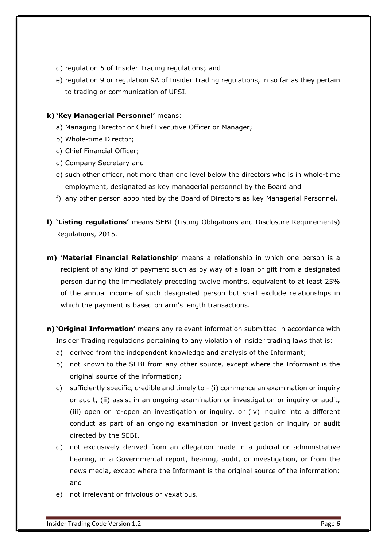- d) regulation 5 of Insider Trading regulations; and
- e) regulation 9 or regulation 9A of Insider Trading regulations, in so far as they pertain to trading or communication of UPSI.

#### k) 'Key Managerial Personnel' means:

- a) Managing Director or Chief Executive Officer or Manager;
- b) Whole-time Director;
- c) Chief Financial Officer;
- d) Company Secretary and
- e) such other officer, not more than one level below the directors who is in whole-time employment, designated as key managerial personnel by the Board and
- f) any other person appointed by the Board of Directors as key Managerial Personnel.
- l) 'Listing regulations' means SEBI (Listing Obligations and Disclosure Requirements) Regulations, 2015.
- m) 'Material Financial Relationship' means a relationship in which one person is a recipient of any kind of payment such as by way of a loan or gift from a designated person during the immediately preceding twelve months, equivalent to at least 25% of the annual income of such designated person but shall exclude relationships in which the payment is based on arm's length transactions.
- n) 'Original Information' means any relevant information submitted in accordance with Insider Trading regulations pertaining to any violation of insider trading laws that is:
	- a) derived from the independent knowledge and analysis of the Informant;
	- b) not known to the SEBI from any other source, except where the Informant is the original source of the information;
	- c) sufficiently specific, credible and timely to (i) commence an examination or inquiry or audit, (ii) assist in an ongoing examination or investigation or inquiry or audit, (iii) open or re-open an investigation or inquiry, or (iv) inquire into a different conduct as part of an ongoing examination or investigation or inquiry or audit directed by the SEBI.
	- d) not exclusively derived from an allegation made in a judicial or administrative hearing, in a Governmental report, hearing, audit, or investigation, or from the news media, except where the Informant is the original source of the information; and
	- e) not irrelevant or frivolous or vexatious.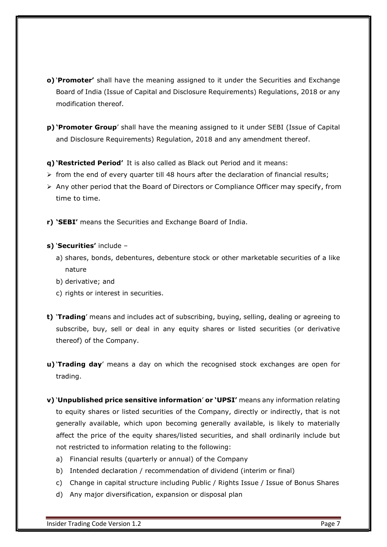- o) 'Promoter' shall have the meaning assigned to it under the Securities and Exchange Board of India (Issue of Capital and Disclosure Requirements) Regulations, 2018 or any modification thereof.
- p) 'Promoter Group' shall have the meaning assigned to it under SEBI (Issue of Capital and Disclosure Requirements) Regulation, 2018 and any amendment thereof.

q) 'Restricted Period' It is also called as Black out Period and it means:

- $\triangleright$  from the end of every quarter till 48 hours after the declaration of financial results;
- Any other period that the Board of Directors or Compliance Officer may specify, from time to time.

r) 'SEBI' means the Securities and Exchange Board of India.

#### s) 'Securities' include -

- a) shares, bonds, debentures, debenture stock or other marketable securities of a like nature
- b) derivative; and
- c) rights or interest in securities.
- t) 'Trading' means and includes act of subscribing, buying, selling, dealing or agreeing to subscribe, buy, sell or deal in any equity shares or listed securities (or derivative thereof) of the Company.
- u) Trading day' means a day on which the recognised stock exchanges are open for trading.
- v) 'Unpublished price sensitive information' or 'UPSI' means any information relating to equity shares or listed securities of the Company, directly or indirectly, that is not generally available, which upon becoming generally available, is likely to materially affect the price of the equity shares/listed securities, and shall ordinarily include but not restricted to information relating to the following:
	- a) Financial results (quarterly or annual) of the Company
	- b) Intended declaration / recommendation of dividend (interim or final)
	- c) Change in capital structure including Public / Rights Issue / Issue of Bonus Shares
	- d) Any major diversification, expansion or disposal plan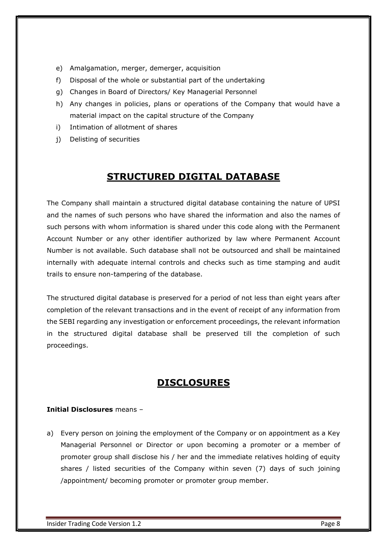- e) Amalgamation, merger, demerger, acquisition
- f) Disposal of the whole or substantial part of the undertaking
- g) Changes in Board of Directors/ Key Managerial Personnel
- h) Any changes in policies, plans or operations of the Company that would have a material impact on the capital structure of the Company
- i) Intimation of allotment of shares
- j) Delisting of securities

### STRUCTURED DIGITAL DATABASE

The Company shall maintain a structured digital database containing the nature of UPSI and the names of such persons who have shared the information and also the names of such persons with whom information is shared under this code along with the Permanent Account Number or any other identifier authorized by law where Permanent Account Number is not available. Such database shall not be outsourced and shall be maintained internally with adequate internal controls and checks such as time stamping and audit trails to ensure non-tampering of the database.

The structured digital database is preserved for a period of not less than eight years after completion of the relevant transactions and in the event of receipt of any information from the SEBI regarding any investigation or enforcement proceedings, the relevant information in the structured digital database shall be preserved till the completion of such proceedings.

### DISCLOSURES

#### Initial Disclosures means –

a) Every person on joining the employment of the Company or on appointment as a Key Managerial Personnel or Director or upon becoming a promoter or a member of promoter group shall disclose his / her and the immediate relatives holding of equity shares / listed securities of the Company within seven (7) days of such joining /appointment/ becoming promoter or promoter group member.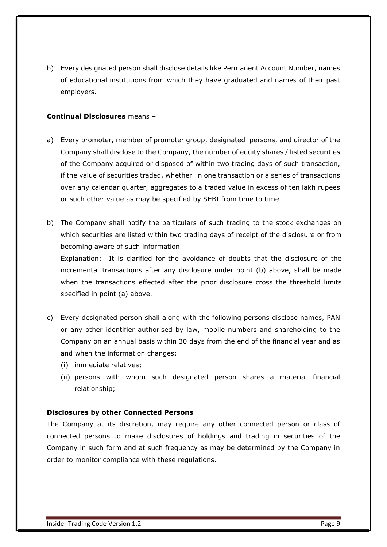b) Every designated person shall disclose details like Permanent Account Number, names of educational institutions from which they have graduated and names of their past employers.

#### Continual Disclosures means –

- a) Every promoter, member of promoter group, designated persons, and director of the Company shall disclose to the Company, the number of equity shares / listed securities of the Company acquired or disposed of within two trading days of such transaction, if the value of securities traded, whether in one transaction or a series of transactions over any calendar quarter, aggregates to a traded value in excess of ten lakh rupees or such other value as may be specified by SEBI from time to time.
- b) The Company shall notify the particulars of such trading to the stock exchanges on which securities are listed within two trading days of receipt of the disclosure or from becoming aware of such information.

Explanation: It is clarified for the avoidance of doubts that the disclosure of the incremental transactions after any disclosure under point (b) above, shall be made when the transactions effected after the prior disclosure cross the threshold limits specified in point (a) above.

- c) Every designated person shall along with the following persons disclose names, PAN or any other identifier authorised by law, mobile numbers and shareholding to the Company on an annual basis within 30 days from the end of the financial year and as and when the information changes:
	- (i) immediate relatives;
	- (ii) persons with whom such designated person shares a material financial relationship;

#### Disclosures by other Connected Persons

The Company at its discretion, may require any other connected person or class of connected persons to make disclosures of holdings and trading in securities of the Company in such form and at such frequency as may be determined by the Company in order to monitor compliance with these regulations.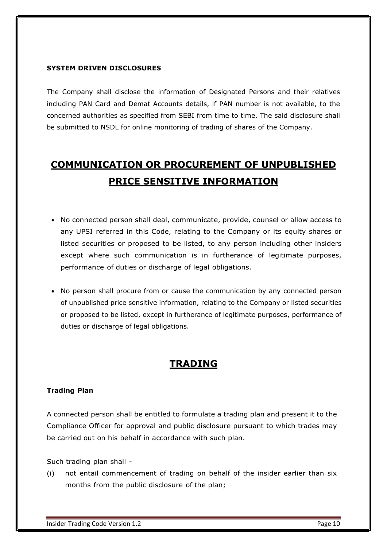#### SYSTEM DRIVEN DISCLOSURES

The Company shall disclose the information of Designated Persons and their relatives including PAN Card and Demat Accounts details, if PAN number is not available, to the concerned authorities as specified from SEBI from time to time. The said disclosure shall be submitted to NSDL for online monitoring of trading of shares of the Company.

# COMMUNICATION OR PROCUREMENT OF UNPUBLISHED PRICE SENSITIVE INFORMATION

- No connected person shall deal, communicate, provide, counsel or allow access to any UPSI referred in this Code, relating to the Company or its equity shares or listed securities or proposed to be listed, to any person including other insiders except where such communication is in furtherance of legitimate purposes, performance of duties or discharge of legal obligations.
- No person shall procure from or cause the communication by any connected person of unpublished price sensitive information, relating to the Company or listed securities or proposed to be listed, except in furtherance of legitimate purposes, performance of duties or discharge of legal obligations.

### TRADING

#### Trading Plan

A connected person shall be entitled to formulate a trading plan and present it to the Compliance Officer for approval and public disclosure pursuant to which trades may be carried out on his behalf in accordance with such plan.

Such trading plan shall -

(i) not entail commencement of trading on behalf of the insider earlier than six months from the public disclosure of the plan;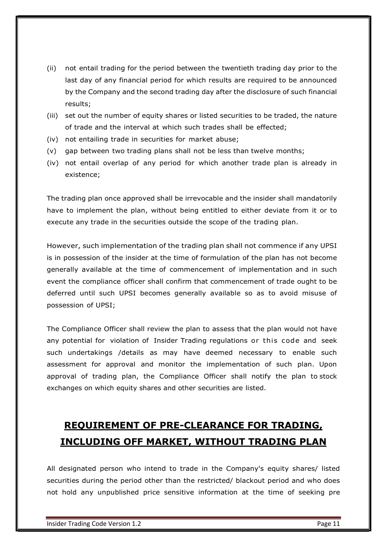- (ii) not entail trading for the period between the twentieth trading day prior to the last day of any financial period for which results are required to be announced by the Company and the second trading day after the disclosure of such financial results;
- (iii) set out the number of equity shares or listed securities to be traded, the nature of trade and the interval at which such trades shall be effected;
- (iv) not entailing trade in securities for market abuse;
- (v) gap between two trading plans shall not be less than twelve months;
- (iv) not entail overlap of any period for which another trade plan is already in existence;

The trading plan once approved shall be irrevocable and the insider shall mandatorily have to implement the plan, without being entitled to either deviate from it or to execute any trade in the securities outside the scope of the trading plan.

However, such implementation of the trading plan shall not commence if any UPSI is in possession of the insider at the time of formulation of the plan has not become generally available at the time of commencement of implementation and in such event the compliance officer shall confirm that commencement of trade ought to be deferred until such UPSI becomes generally available so as to avoid misuse of possession of UPSI; existence;<br>The trading plan once approved shall be irrevocable and the insider shall mandatorily<br>have to implement the plan, without being entitled to either deviate from it or to<br>execute any trade in the securities outsid

The Compliance Officer shall review the plan to assess that the plan would not have such undertakings /details as may have deemed necessary to enable such assessment for approval and monitor the implementation of such plan. Upon approval of trading plan, the Compliance Officer shall notify the plan to stock exchanges on which equity shares and other securities are listed.

## REQUIREMENT OF PRE-CLEARANCE FOR TRADING, INCLUDING OFF MARKET, WITHOUT TRADING PLAN

All designated person who intend to trade in the Company's equity shares/ listed securities during the period other than the restricted/ blackout period and who does not hold any unpublished price sensitive information at the time of seeking pre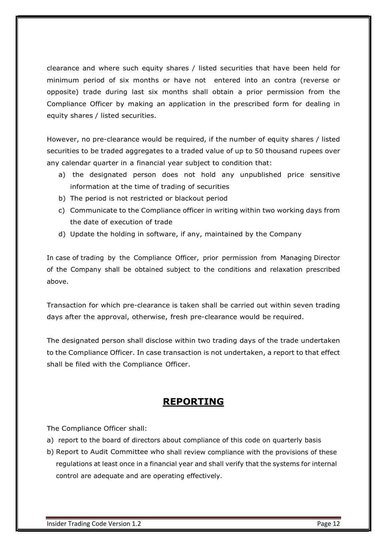clearance and where such equity shares / listed securities that have been held for minimum period of six months or have not entered into an contra (reverse or opposite) trade during last six months shall obtain a prior permission from the Compliance Officer by making an application in the prescribed form for dealing in equity shares / listed securities.

However, no pre-clearance would be required, if the number of equity shares / listed securities to be traded aggregates to a traded value of up to 50 thousand rupees over any calendar quarter in a financial year subject to condition that:

- a) the designated person does not hold any unpublished price sensitive information at the time of trading of securities
- b) The period is not restricted or blackout period
- c) Communicate to the Compliance officer in writing within two working days from the date of execution of trade
- d) Update the holding in software, if any, maintained by the Company

In case of trading by the Compliance Officer, prior permission from Managing Director of the Company shall be obtained subject to the conditions and relaxation prescribed above.

Transaction for which pre-clearance is taken shall be carried out within seven trading days after the approval, otherwise, fresh pre-clearance would be required.

The designated person shall disclose within two trading days of the trade undertaken to the Compliance Officer. In case transaction is not undertaken, a report to that effect shall be filed with the Compliance Officer.

### REPORTING

The Compliance Officer shall:

- a) report to the board of directors about compliance of this code on quarterly basis
- b) Report to Audit Committee who shall review compliance with the provisions of these regulations at least once in a financial year and shall verify that the systems for internal control are adequate and are operating effectively.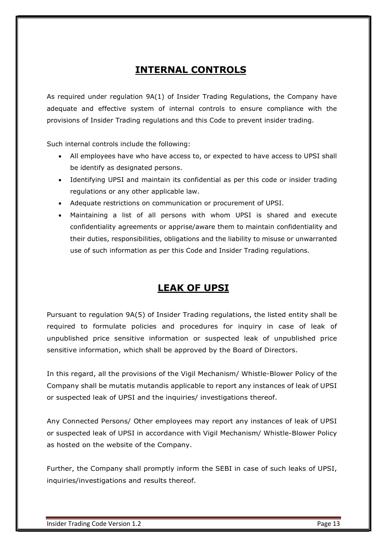### INTERNAL CONTROLS

As required under regulation 9A(1) of Insider Trading Regulations, the Company have adequate and effective system of internal controls to ensure compliance with the provisions of Insider Trading regulations and this Code to prevent insider trading.

Such internal controls include the following:

- All employees have who have access to, or expected to have access to UPSI shall be identify as designated persons.
- Identifying UPSI and maintain its confidential as per this code or insider trading regulations or any other applicable law.
- Adequate restrictions on communication or procurement of UPSI.
- Maintaining a list of all persons with whom UPSI is shared and execute confidentiality agreements or apprise/aware them to maintain confidentiality and their duties, responsibilities, obligations and the liability to misuse or unwarranted use of such information as per this Code and Insider Trading regulations.

### LEAK OF UPSI

Pursuant to regulation 9A(5) of Insider Trading regulations, the listed entity shall be required to formulate policies and procedures for inquiry in case of leak of unpublished price sensitive information or suspected leak of unpublished price sensitive information, which shall be approved by the Board of Directors.

In this regard, all the provisions of the Vigil Mechanism/ Whistle-Blower Policy of the Company shall be mutatis mutandis applicable to report any instances of leak of UPSI or suspected leak of UPSI and the inquiries/ investigations thereof.

Any Connected Persons/ Other employees may report any instances of leak of UPSI or suspected leak of UPSI in accordance with Vigil Mechanism/ Whistle-Blower Policy as hosted on the website of the Company.

Further, the Company shall promptly inform the SEBI in case of such leaks of UPSI, inquiries/investigations and results thereof.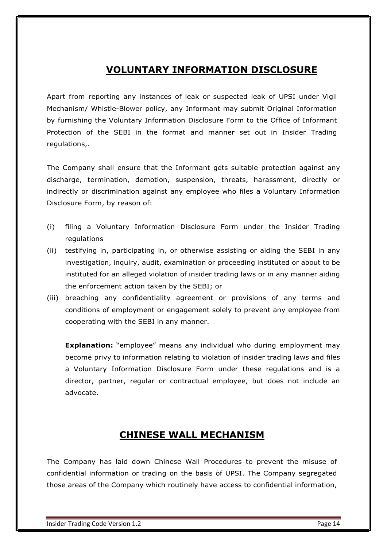### VOLUNTARY INFORMATION DISCLOSURE

Apart from reporting any instances of leak or suspected leak of UPSI under Vigil Mechanism/ Whistle-Blower policy, any Informant may submit Original Information by furnishing the Voluntary Information Disclosure Form to the Office of Informant Protection of the SEBI in the format and manner set out in Insider Trading regulations,.

The Company shall ensure that the Informant gets suitable protection against any discharge, termination, demotion, suspension, threats, harassment, directly or indirectly or discrimination against any employee who files a Voluntary Information Disclosure Form, by reason of:

- (i) filing a Voluntary Information Disclosure Form under the Insider Trading regulations
- (ii) testifying in, participating in, or otherwise assisting or aiding the SEBI in any investigation, inquiry, audit, examination or proceeding instituted or about to be instituted for an alleged violation of insider trading laws or in any manner aiding the enforcement action taken by the SEBI; or
- (iii) breaching any confidentiality agreement or provisions of any terms and conditions of employment or engagement solely to prevent any employee from cooperating with the SEBI in any manner.

**Explanation:** "employee" means any individual who during employment may become privy to information relating to violation of insider trading laws and files a Voluntary Information Disclosure Form under these regulations and is a director, partner, regular or contractual employee, but does not include an advocate.

### CHINESE WALL MECHANISM

The Company has laid down Chinese Wall Procedures to prevent the misuse of confidential information or trading on the basis of UPSI. The Company segregated those areas of the Company which routinely have access to confidential information,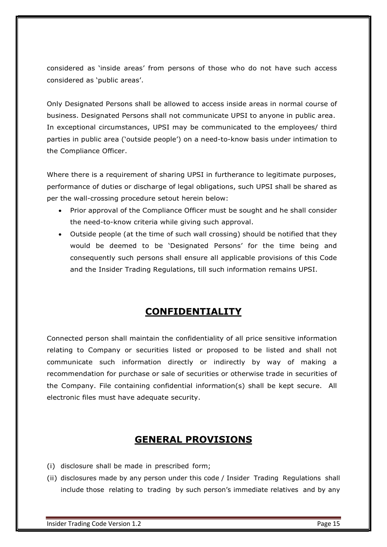considered as 'inside areas' from persons of those who do not have such access considered as 'public areas'.

Only Designated Persons shall be allowed to access inside areas in normal course of business. Designated Persons shall not communicate UPSI to anyone in public area. In exceptional circumstances, UPSI may be communicated to the employees/ third parties in public area ('outside people') on a need-to-know basis under intimation to the Compliance Officer.

Where there is a requirement of sharing UPSI in furtherance to legitimate purposes, performance of duties or discharge of legal obligations, such UPSI shall be shared as per the wall-crossing procedure setout herein below:

- Prior approval of the Compliance Officer must be sought and he shall consider the need-to-know criteria while giving such approval.
- Outside people (at the time of such wall crossing) should be notified that they would be deemed to be 'Designated Persons' for the time being and consequently such persons shall ensure all applicable provisions of this Code and the Insider Trading Regulations, till such information remains UPSI.

### CONFIDENTIALITY

Connected person shall maintain the confidentiality of all price sensitive information relating to Company or securities listed or proposed to be listed and shall not communicate such information directly or indirectly by way of making a recommendation for purchase or sale of securities or otherwise trade in securities of the Company. File containing confidential information(s) shall be kept secure. All electronic files must have adequate security.

### GENERAL PROVISIONS

- (i) disclosure shall be made in prescribed form;
- (ii) disclosures made by any person under this code / Insider Trading Regulations shall include those relating to trading by such person's immediate relatives and by any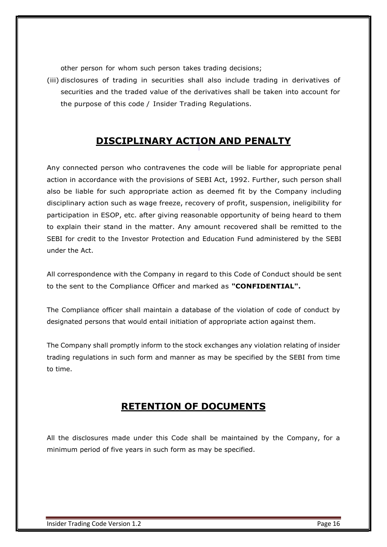other person for whom such person takes trading decisions;

(iii) disclosures of trading in securities shall also include trading in derivatives of securities and the traded value of the derivatives shall be taken into account for the purpose of this code / Insider Trading Regulations.

### DISCIPLINARY ACTION AND PENALTY

Any connected person who contravenes the code will be liable for appropriate penal action in accordance with the provisions of SEBI Act, 1992. Further, such person shall also be liable for such appropriate action as deemed fit by the Company including disciplinary action such as wage freeze, recovery of profit, suspension, ineligibility for participation in ESOP, etc. after giving reasonable opportunity of being heard to them to explain their stand in the matter. Any amount recovered shall be remitted to the SEBI for credit to the Investor Protection and Education Fund administered by the SEBI under the Act.

All correspondence with the Company in regard to this Code of Conduct should be sent to the sent to the Compliance Officer and marked as "CONFIDENTIAL".

The Compliance officer shall maintain a database of the violation of code of conduct by designated persons that would entail initiation of appropriate action against them.

The Company shall promptly inform to the stock exchanges any violation relating of insider trading regulations in such form and manner as may be specified by the SEBI from time to time.

### RETENTION OF DOCUMENTS

All the disclosures made under this Code shall be maintained by the Company, for a minimum period of five years in such form as may be specified.